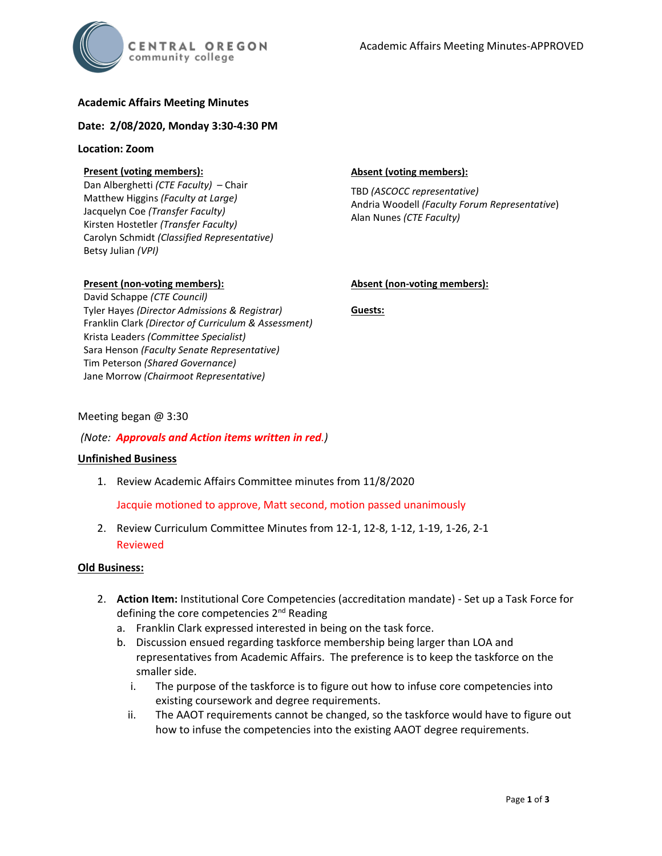# **Academic Affairs Meeting Minutes**

### **Date: 2/08/2020, Monday 3:30-4:30 PM**

#### **Location: Zoom**

## **Present (voting members):**

Dan Alberghetti *(CTE Faculty)* – Chair Matthew Higgins *(Faculty at Large)* Jacquelyn Coe *(Transfer Faculty)*  Kirsten Hostetler *(Transfer Faculty)* Carolyn Schmidt *(Classified Representative)* Betsy Julian *(VPI)*

### **Absent (voting members):**

TBD *(ASCOCC representative)* Andria Woodell *(Faculty Forum Representative*) Alan Nunes *(CTE Faculty)*

### **Present (non-voting members):**

David Schappe *(CTE Council)* Tyler Hayes *(Director Admissions & Registrar)* Franklin Clark *(Director of Curriculum & Assessment)* Krista Leaders *(Committee Specialist)* Sara Henson *(Faculty Senate Representative)* Tim Peterson *(Shared Governance)* Jane Morrow *(Chairmoot Representative)*

### **Absent (non-voting members):**

**Guests:**

## Meeting began @ 3:30

### *(Note: Approvals and Action items written in red.)*

### **Unfinished Business**

1. Review Academic Affairs Committee minutes from 11/8/2020

Jacquie motioned to approve, Matt second, motion passed unanimously

2. Review Curriculum Committee Minutes from 12-1, 12-8, 1-12, 1-19, 1-26, 2-1 Reviewed

### **Old Business:**

- 2. **Action Item:** Institutional Core Competencies (accreditation mandate) Set up a Task Force for defining the core competencies 2<sup>nd</sup> Reading
	- a. Franklin Clark expressed interested in being on the task force.
	- b. Discussion ensued regarding taskforce membership being larger than LOA and representatives from Academic Affairs. The preference is to keep the taskforce on the smaller side.
		- i. The purpose of the taskforce is to figure out how to infuse core competencies into existing coursework and degree requirements.
		- ii. The AAOT requirements cannot be changed, so the taskforce would have to figure out how to infuse the competencies into the existing AAOT degree requirements.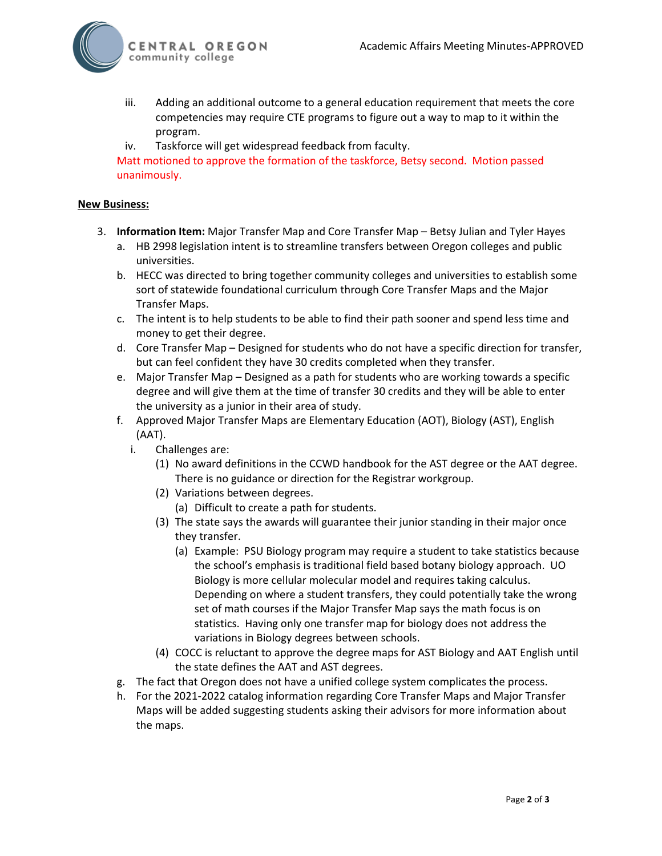

- iii. Adding an additional outcome to a general education requirement that meets the core competencies may require CTE programs to figure out a way to map to it within the program.
- iv. Taskforce will get widespread feedback from faculty.

Matt motioned to approve the formation of the taskforce, Betsy second. Motion passed unanimously.

## **New Business:**

- 3. **Information Item:** Major Transfer Map and Core Transfer Map Betsy Julian and Tyler Hayes
	- a. HB 2998 legislation intent is to streamline transfers between Oregon colleges and public universities.
	- b. HECC was directed to bring together community colleges and universities to establish some sort of statewide foundational curriculum through Core Transfer Maps and the Major Transfer Maps.
	- c. The intent is to help students to be able to find their path sooner and spend less time and money to get their degree.
	- d. Core Transfer Map Designed for students who do not have a specific direction for transfer, but can feel confident they have 30 credits completed when they transfer.
	- e. Major Transfer Map Designed as a path for students who are working towards a specific degree and will give them at the time of transfer 30 credits and they will be able to enter the university as a junior in their area of study.
	- f. Approved Major Transfer Maps are Elementary Education (AOT), Biology (AST), English (AAT).
		- i. Challenges are:
			- (1) No award definitions in the CCWD handbook for the AST degree or the AAT degree. There is no guidance or direction for the Registrar workgroup.
			- (2) Variations between degrees.
				- (a) Difficult to create a path for students.
			- (3) The state says the awards will guarantee their junior standing in their major once they transfer.
				- (a) Example: PSU Biology program may require a student to take statistics because the school's emphasis is traditional field based botany biology approach. UO Biology is more cellular molecular model and requires taking calculus. Depending on where a student transfers, they could potentially take the wrong set of math courses if the Major Transfer Map says the math focus is on statistics. Having only one transfer map for biology does not address the variations in Biology degrees between schools.
			- (4) COCC is reluctant to approve the degree maps for AST Biology and AAT English until the state defines the AAT and AST degrees.
	- g. The fact that Oregon does not have a unified college system complicates the process.
	- h. For the 2021-2022 catalog information regarding Core Transfer Maps and Major Transfer Maps will be added suggesting students asking their advisors for more information about the maps.